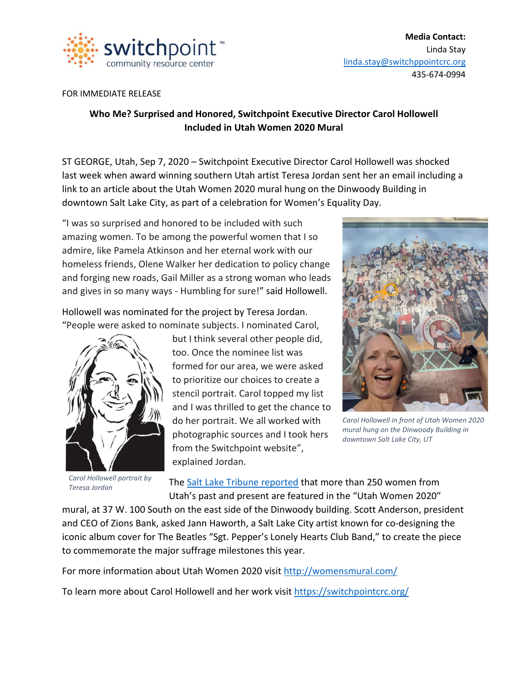

**Media Contact:** Linda Stay [linda.stay@switchppointcrc.org](mailto:linda.stay@switchppointcrc.org) 435-674-0994

## FOR IMMEDIATE RELEASE

## **Who Me? Surprised and Honored, Switchpoint Executive Director Carol Hollowell Included in Utah Women 2020 Mural**

ST GEORGE, Utah, Sep 7, 2020 – Switchpoint Executive Director Carol Hollowell was shocked last week when award winning southern Utah artist Teresa Jordan sent her an email including a link to an article about the Utah Women 2020 mural hung on the Dinwoody Building in downtown Salt Lake City, as part of a celebration for Women's Equality Day.

"I was so surprised and honored to be included with such amazing women. To be among the powerful women that I so admire, like Pamela Atkinson and her eternal work with our homeless friends, Olene Walker her dedication to policy change and forging new roads, Gail Miller as a strong woman who leads and gives in so many ways - Humbling for sure!" said Hollowell.

Hollowell was nominated for the project by Teresa Jordan. "People were asked to nominate subjects. I nominated Carol,



*Carol Hollowell portrait by Teresa Jordan*

but I think several other people did, too. Once the nominee list was formed for our area, we were asked to prioritize our choices to create a stencil portrait. Carol topped my list and I was thrilled to get the chance to do her portrait. We all worked with photographic sources and I took hers from the Switchpoint website", explained Jordan.



*Carol Hollowell in front of Utah Women 2020 mural hung on the Dinwoody Building in downtown Salt Lake City, UT*

The Salt Lake Tribune [reported](https://www.sltrib.com/artsliving/2020/08/28/salt-lake-city-mural/#gallery-carousel-7684871) that more than 250 women from Utah's past and present are featured in the "Utah Women 2020″

mural, at 37 W. 100 South on the east side of the Dinwoody building. Scott Anderson, president and CEO of Zions Bank, asked Jann Haworth, a Salt Lake City artist known for co-designing the iconic album cover for The Beatles "Sgt. Pepper's Lonely Hearts Club Band," to create the piece to commemorate the major suffrage milestones this year.

For more information about Utah Women 2020 visit <http://womensmural.com/>

To learn more about Carol Hollowell and her work visit<https://switchpointcrc.org/>